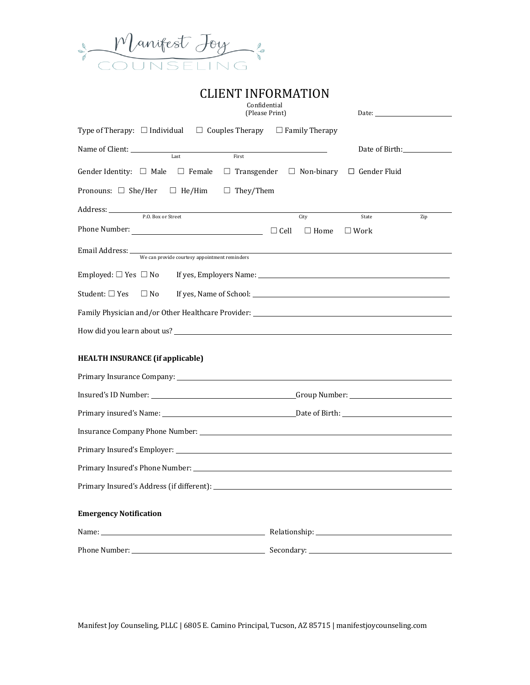

| <b>CLIENT INFORMATION</b>                                                       |                                                                                                                |
|---------------------------------------------------------------------------------|----------------------------------------------------------------------------------------------------------------|
| Confidential<br>(Please Print)                                                  |                                                                                                                |
| Type of Therapy: $\Box$ Individual $\Box$ Couples Therapy $\Box$ Family Therapy |                                                                                                                |
| Name of Client: Name of Client:<br>First<br>Last                                | Date of Birth:                                                                                                 |
| Gender Identity: $\Box$ Male $\Box$ Female $\Box$ Transgender $\Box$ Non-binary | $\Box$ Gender Fluid                                                                                            |
| Pronouns: $\Box$ She/Her $\Box$ He/Him<br>$\Box$ They/Them                      |                                                                                                                |
| Address: <u>P.O. Box or Street</u>                                              | State<br>City<br>Zip                                                                                           |
| Phone Number: $\qquad \qquad \square$ Cell                                      | $\Box$ Home<br>$\square$ Work                                                                                  |
| Email Address: We can provide courtesy appointment reminders                    |                                                                                                                |
| Employed: $\Box$ Yes $\Box$ No                                                  | If yes, Employers Name: 1997 Manual Manual Manual Manual Manual Manual Manual Manual Manual Manual Manual Manu |
| Student: □ Yes<br>$\Box$ No                                                     |                                                                                                                |
|                                                                                 |                                                                                                                |
| How did you learn about us?                                                     |                                                                                                                |
| <b>HEALTH INSURANCE (if applicable)</b>                                         |                                                                                                                |
|                                                                                 |                                                                                                                |
|                                                                                 |                                                                                                                |
|                                                                                 |                                                                                                                |
|                                                                                 |                                                                                                                |
|                                                                                 |                                                                                                                |
|                                                                                 |                                                                                                                |
|                                                                                 |                                                                                                                |
| <b>Emergency Notification</b>                                                   |                                                                                                                |
|                                                                                 |                                                                                                                |
|                                                                                 |                                                                                                                |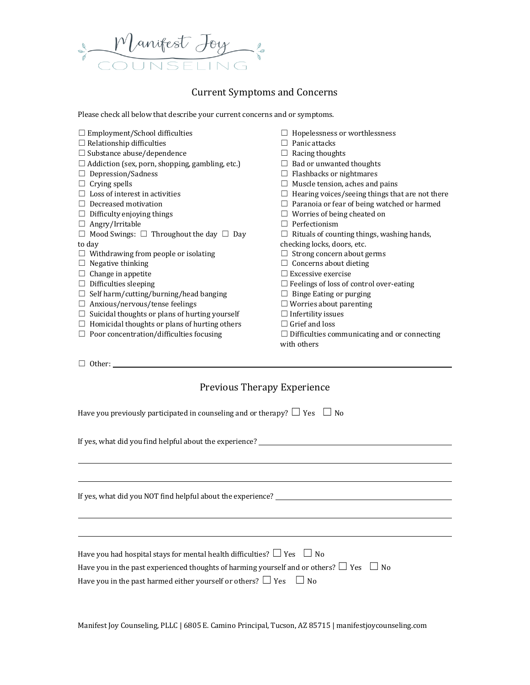

# Current Symptoms and Concerns

Please check all below that describe your current concerns and or symptoms.

| $\Box$ Employment/School difficulties                  | Hopelessness or worthlessness                       |
|--------------------------------------------------------|-----------------------------------------------------|
| $\Box$ Relationship difficulties                       | Panic attacks                                       |
| $\Box$ Substance abuse/dependence                      | Racing thoughts                                     |
| $\Box$ Addiction (sex, porn, shopping, gambling, etc.) | Bad or unwanted thoughts                            |
| Depression/Sadness                                     | Flashbacks or nightmares                            |
| Crying spells                                          | Muscle tension, aches and pains                     |
| Loss of interest in activities                         | Hearing voices/seeing things that are not there     |
| Decreased motivation                                   | $\Box$ Paranoia or fear of being watched or harmed  |
| Difficulty enjoying things                             | Worries of being cheated on                         |
| Angry/Irritable<br>ш                                   | Perfectionism<br>$\perp$                            |
| Mood Swings: $\Box$ Throughout the day $\Box$ Day<br>⊔ | Rituals of counting things, washing hands,          |
| to day                                                 | checking locks, doors, etc.                         |
| Withdrawing from people or isolating                   | Strong concern about germs                          |
| Negative thinking                                      | $\Box$ Concerns about dieting                       |
| Change in appetite                                     | $\Box$ Excessive exercise                           |
| Difficulties sleeping<br>ш                             | $\Box$ Feelings of loss of control over-eating      |
| Self harm/cutting/burning/head banging                 | Binge Eating or purging                             |
| Anxious/nervous/tense feelings                         | $\Box$ Worries about parenting                      |
| Suicidal thoughts or plans of hurting yourself<br>⊔    | $\Box$ Infertility issues                           |
| Homicidal thoughts or plans of hurting others<br>ш     | $\Box$ Grief and loss                               |
| Poor concentration/difficulties focusing               | $\Box$ Difficulties communicating and or connecting |
|                                                        | with others                                         |

☐ Other:

# Previous Therapy Experience

Have you previously participated in counseling and or therapy?  $\Box$  Yes  $\Box$  No

If yes, what did you find helpful about the experience?

If yes, what did you NOT find helpful about the experience?

| Have you had hospital stays for mental health difficulties? $\Box$ Yes $\Box$ No                  |  |
|---------------------------------------------------------------------------------------------------|--|
| Have you in the past experienced thoughts of harming yourself and or others? $\Box$ Yes $\Box$ No |  |
| Have you in the past harmed either yourself or others? $\Box$ Yes $\Box$ No                       |  |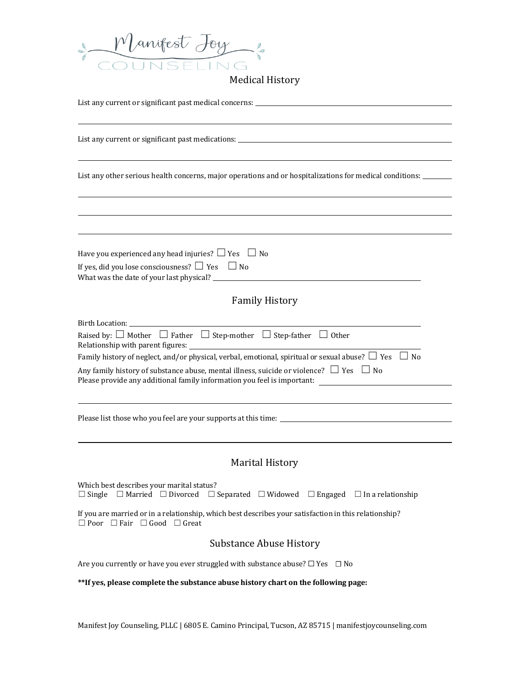

| List any current or significant past medications: _______________________________                                                                                                                                                                                                                                                                                                          |
|--------------------------------------------------------------------------------------------------------------------------------------------------------------------------------------------------------------------------------------------------------------------------------------------------------------------------------------------------------------------------------------------|
| List any other serious health concerns, major operations and or hospitalizations for medical conditions:                                                                                                                                                                                                                                                                                   |
|                                                                                                                                                                                                                                                                                                                                                                                            |
| Have you experienced any head injuries? $\Box$ Yes $\Box$ No<br>If yes, did you lose consciousness? $\Box$ Yes $\Box$ No                                                                                                                                                                                                                                                                   |
| <b>Family History</b>                                                                                                                                                                                                                                                                                                                                                                      |
| Raised by: $\Box$ Mother $\Box$ Father $\Box$ Step-mother $\Box$ Step-father $\Box$ Other<br>Family history of neglect, and/or physical, verbal, emotional, spiritual or sexual abuse? $\Box$ Yes $\Box$ No<br>Any family history of substance abuse, mental illness, suicide or violence? $\Box$ Yes $\Box$ No<br>Please provide any additional family information you feel is important: |
|                                                                                                                                                                                                                                                                                                                                                                                            |
| <b>Marital History</b>                                                                                                                                                                                                                                                                                                                                                                     |
| Which best describes your marital status?<br>$\Box$ Single $\Box$ Married $\Box$ Divorced $\Box$ Separated $\Box$ Widowed $\Box$ Engaged $\Box$ In a relationship                                                                                                                                                                                                                          |
| If you are married or in a relationship, which best describes your satisfaction in this relationship?<br>$\Box$ Poor $\Box$ Fair $\Box$ Good $\Box$ Great                                                                                                                                                                                                                                  |
| <b>Substance Abuse History</b>                                                                                                                                                                                                                                                                                                                                                             |
| Are you currently or have you ever struggled with substance abuse? $\Box$ Yes $\Box$ No                                                                                                                                                                                                                                                                                                    |
| ** If yes, please complete the substance abuse history chart on the following page:                                                                                                                                                                                                                                                                                                        |
|                                                                                                                                                                                                                                                                                                                                                                                            |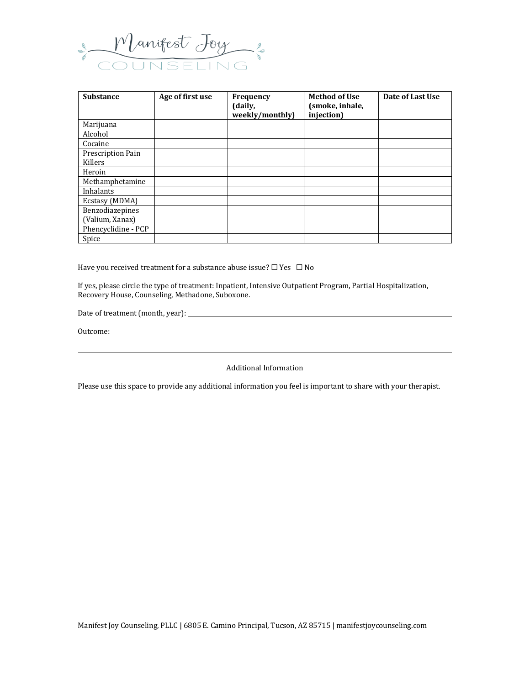

| <b>Substance</b>    | Age of first use | Frequency<br>(daily,<br>weekly/monthly) | <b>Method of Use</b><br>(smoke, inhale,<br>injection) | Date of Last Use |
|---------------------|------------------|-----------------------------------------|-------------------------------------------------------|------------------|
| Marijuana           |                  |                                         |                                                       |                  |
| Alcohol             |                  |                                         |                                                       |                  |
| Cocaine             |                  |                                         |                                                       |                  |
| Prescription Pain   |                  |                                         |                                                       |                  |
| Killers             |                  |                                         |                                                       |                  |
| Heroin              |                  |                                         |                                                       |                  |
| Methamphetamine     |                  |                                         |                                                       |                  |
| Inhalants           |                  |                                         |                                                       |                  |
| Ecstasy (MDMA)      |                  |                                         |                                                       |                  |
| Benzodiazepines     |                  |                                         |                                                       |                  |
| (Valium, Xanax)     |                  |                                         |                                                       |                  |
| Phencyclidine - PCP |                  |                                         |                                                       |                  |
| Spice               |                  |                                         |                                                       |                  |

Have you received treatment for a substance abuse issue?  $\Box$  Yes  $\Box$  No

If yes, please circle the type of treatment: Inpatient, Intensive Outpatient Program, Partial Hospitalization, Recovery House, Counseling, Methadone, Suboxone.

Date of treatment (month, year):

Outcome:

Additional Information

Please use this space to provide any additional information you feel is important to share with your therapist.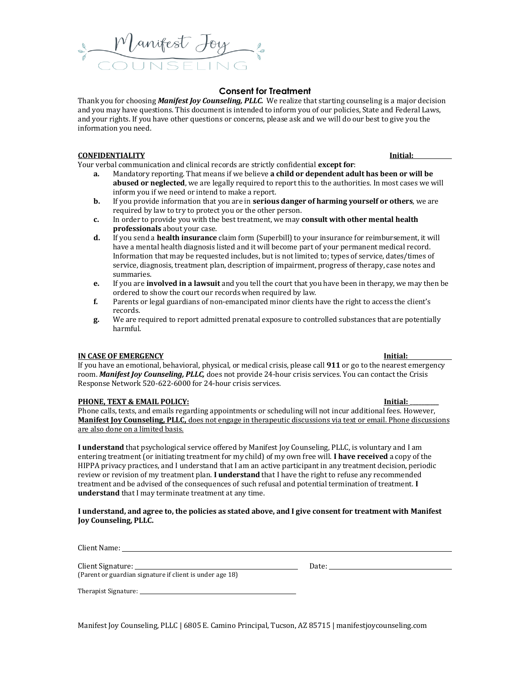Thank you for choosing *Manifest Joy Counseling, PLLC.* We realize that starting counseling is a major decision and you may have questions. This document is intended to inform you of our policies, State and Federal Laws, and your rights. If you have other questions or concerns, please ask and we will do our best to give you the information you need.

### **CONFIDENTIALITY Initial:**

Your verbal communication and clinical records are strictly confidential **except for**:

Manifest Joy

- **a.** Mandatory reporting. That means if we believe **a child or dependent adult has been or will be abused or neglected**, we are legally required to report this to the authorities. In most cases we will inform you if we need or intend to make a report.
- **b.** If you provide information that you are in **serious danger of harming yourself or others**, we are required by law to try to protect you or the other person.
- **c.** In order to provide you with the best treatment, we may **consult with other mental health professionals** about your case.
- **d.** If you send a **health insurance** claim form (Superbill) to your insurance for reimbursement, it will have a mental health diagnosis listed and it will become part of your permanent medical record. Information that may be requested includes, but is not limited to; types of service, dates/times of service, diagnosis, treatment plan, description of impairment, progress of therapy, case notes and summaries.
- **e.** If you are **involved in a lawsuit** and you tell the court that you have been in therapy, we may then be ordered to show the court our records when required by law.
- **f.** Parents or legal guardians of non-emancipated minor clients have the right to access the client's records.
- **g.** We are required to report admitted prenatal exposure to controlled substances that are potentially harmful.

### **IN CASE OF EMERGENCY Initial:**

If you have an emotional, behavioral, physical, or medical crisis, please call **911** or go to the nearest emergency room. *Manifest Joy Counseling, PLLC,* does not provide 24-hour crisis services. You can contact the Crisis Response Network 520-622-6000 for 24-hour crisis services.

### **PHONE, TEXT & EMAIL POLICY:**  $\blacksquare$

Phone calls, texts, and emails regarding appointments or scheduling will not incur additional fees. However, **Manifest Joy Counseling, PLLC,** does not engage in therapeutic discussions via text or email. Phone discussions are also done on a limited basis.

**I understand** that psychological service offered by Manifest Joy Counseling, PLLC, is voluntary and I am entering treatment (or initiating treatment for my child) of my own free will. **I have received** a copy of the HIPPA privacy practices, and I understand that I am an active participant in any treatment decision, periodic review or revision of my treatment plan. **I understand** that I have the right to refuse any recommended treatment and be advised of the consequences of such refusal and potential termination of treatment. **I understand** that I may terminate treatment at any time.

### **I understand, and agree to, the policies as stated above, and I give consent for treatment with Manifest Joy Counseling, PLLC.**

Client Name:

Client Signature: Date: Date: Date: Date: Date: Date: Date: Date: Date: Date: Date: Date: Date: Date: Date: Date: Date: Date: Date: Date: Date: Date: Date: Date: Date: Date: Date: Date: Date: Date: Date: Date: Date: Date: (Parent or guardian signature if client is under age 18)

Therapist Signature: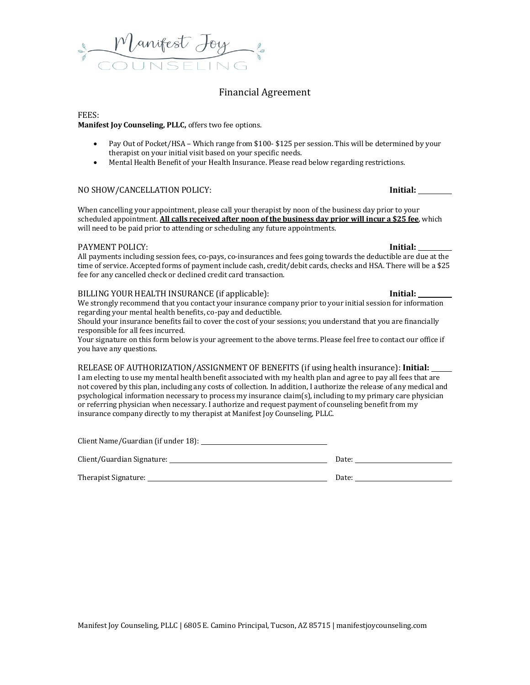# Financial Agreement

### FEES:

### **Manifest Joy Counseling, PLLC,** offers two fee options.

- Pay Out of Pocket/HSA Which range from \$100- \$125 per session. This will be determined by your therapist on your initial visit based on your specific needs.
- Mental Health Benefit of your Health Insurance. Please read below regarding restrictions.

### NO SHOW/CANCELLATION POLICY: **Initial:**

When cancelling your appointment, please call your therapist by noon of the business day prior to your scheduled appointment. **All calls received after noon of the business day prior will incur a \$25 fee**, which will need to be paid prior to attending or scheduling any future appointments.

### PAYMENT POLICY: **Initial:**

All payments including session fees, co-pays, co-insurances and fees going towards the deductible are due at the time of service. Accepted forms of payment include cash, credit/debit cards, checks and HSA. There will be a \$25 fee for any cancelled check or declined credit card transaction.

### BILLING YOUR HEALTH INSURANCE (if applicable): **Initial:**

We strongly recommend that you contact your insurance company prior to your initial session for information regarding your mental health benefits, co-pay and deductible.

Should your insurance benefits fail to cover the cost of your sessions; you understand that you are financially responsible for all fees incurred.

Your signature on this form below is your agreement to the above terms. Please feel free to contact our office if you have any questions.

### RELEASE OF AUTHORIZATION/ASSIGNMENT OF BENEFITS (if using health insurance): **Initial:**

I am electing to use my mental health benefit associated with my health plan and agree to pay all fees that are not covered by this plan, including any costs of collection. In addition, I authorize the release of any medical and psychological information necessary to process my insurance claim(s), including to my primary care physician or referring physician when necessary. I authorize and request payment of counseling benefit from my insurance company directly to my therapist at Manifest Joy Counseling, PLLC.

Client Name/Guardian (if under 18):

Client/Guardian Signature: Date:

Therapist Signature:

| Date: $\_\_$ |  |  |
|--------------|--|--|
|              |  |  |
|              |  |  |

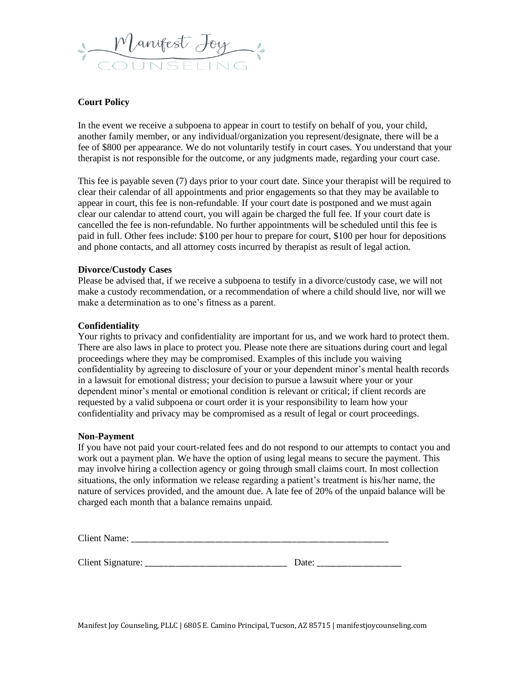

### **Court Policy**

In the event we receive a subpoena to appear in court to testify on behalf of you, your child, another family member, or any individual/organization you represent/designate, there will be a fee of \$800 per appearance. We do not voluntarily testify in court cases. You understand that your therapist is not responsible for the outcome, or any judgments made, regarding your court case.

This fee is payable seven (7) days prior to your court date. Since your therapist will be required to clear their calendar of all appointments and prior engagements so that they may be available to appear in court, this fee is non-refundable. If your court date is postponed and we must again clear our calendar to attend court, you will again be charged the full fee. If your court date is cancelled the fee is non-refundable. No further appointments will be scheduled until this fee is paid in full. Other fees include: \$100 per hour to prepare for court, \$100 per hour for depositions and phone contacts, and all attorney costs incurred by therapist as result of legal action.

### **Divorce/Custody Cases**

Please be advised that, if we receive a subpoena to testify in a divorce/custody case, we will not make a custody recommendation, or a recommendation of where a child should live, nor will we make a determination as to one's fitness as a parent.

### **Confidentiality**

Your rights to privacy and confidentiality are important for us, and we work hard to protect them. There are also laws in place to protect you. Please note there are situations during court and legal proceedings where they may be compromised. Examples of this include you waiving confidentiality by agreeing to disclosure of your or your dependent minor's mental health records in a lawsuit for emotional distress; your decision to pursue a lawsuit where your or your dependent minor's mental or emotional condition is relevant or critical; if client records are requested by a valid subpoena or court order it is your responsibility to learn how your confidentiality and privacy may be compromised as a result of legal or court proceedings.

### **Non-Payment**

If you have not paid your court-related fees and do not respond to our attempts to contact you and work out a payment plan. We have the option of using legal means to secure the payment. This may involve hiring a collection agency or going through small claims court. In most collection situations, the only information we release regarding a patient's treatment is his/her name, the nature of services provided, and the amount due. A late fee of 20% of the unpaid balance will be charged each month that a balance remains unpaid.

| <b>Client Name:</b> |  |
|---------------------|--|
|                     |  |

Client Signature:  $\Box$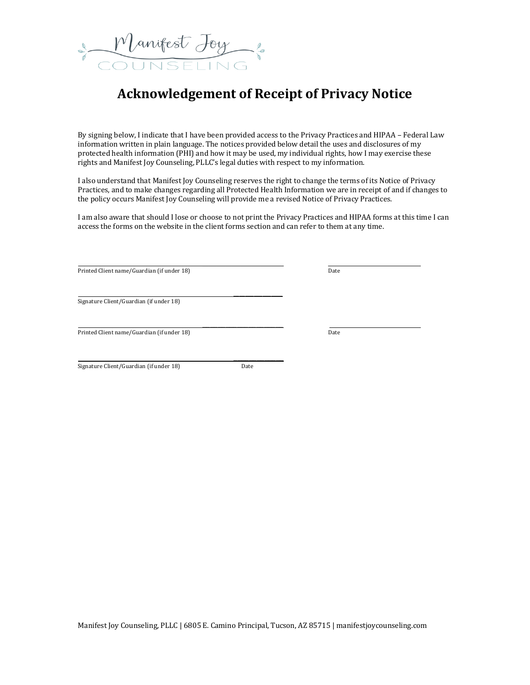

# **Acknowledgement of Receipt of Privacy Notice**

By signing below, I indicate that I have been provided access to the Privacy Practices and HIPAA – Federal Law information written in plain language. The notices provided below detail the uses and disclosures of my protected health information (PHI) and how it may be used, my individual rights, how I may exercise these rights and Manifest Joy Counseling, PLLC's legal duties with respect to my information.

I also understand that Manifest Joy Counseling reserves the right to change the terms of its Notice of Privacy Practices, and to make changes regarding all Protected Health Information we are in receipt of and if changes to the policy occurs Manifest Joy Counseling will provide me a revised Notice of Privacy Practices.

I am also aware that should I lose or choose to not print the Privacy Practices and HIPAA forms at this time I can access the forms on the website in the client forms section and can refer to them at any time.

 $\overline{\phantom{a}}$  , where  $\overline{\phantom{a}}$ 

 $\overline{\phantom{a}}$ 

Printed Client name/Guardian (if under 18) Date

Signature Client/Guardian (if under 18)

Printed Client name/Guardian (if under 18) Date

Signature Client/Guardian (if under 18) Date

 $\overline{\phantom{a}}$  , and the set of the set of the set of the set of the set of the set of the set of the set of the set of the set of the set of the set of the set of the set of the set of the set of the set of the set of the s

 $\_$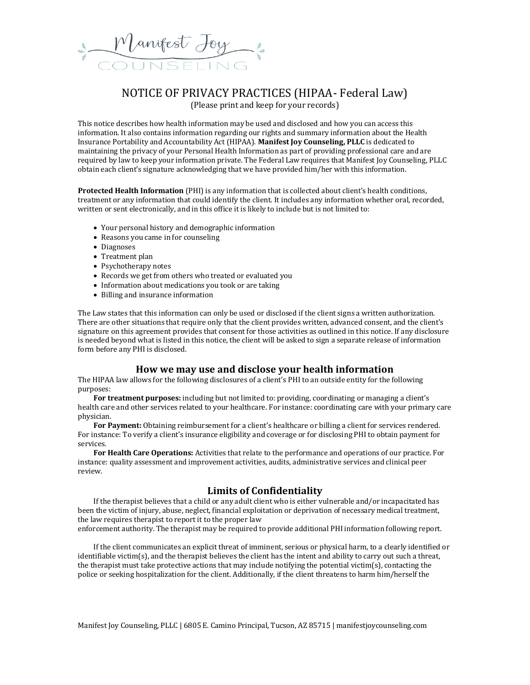

# NOTICE OF PRIVACY PRACTICES (HIPAA- Federal Law) (Please print and keep for your records)

This notice describes how health information may be used and disclosed and how you can access this information. It also contains information regarding our rights and summary information about the Health Insurance Portability and Accountability Act (HIPAA). **Manifest Joy Counseling, PLLC** is dedicated to maintaining the privacy of your Personal Health Information as part of providing professional care and are required by law to keep your information private. The Federal Law requires that Manifest Joy Counseling, PLLC obtain each client's signature acknowledging that we have provided him/her with this information.

**Protected Health Information** (PHI) is any information that is collected about client's health conditions, treatment or any information that could identify the client. It includes any information whether oral, recorded, written or sent electronically, and in this office it is likely to include but is not limited to:

- Your personal history and demographic information
- Reasons you came in for counseling
- Diagnoses
- Treatment plan
- Psychotherapy notes
- Records we get from others who treated or evaluated you
- Information about medications you took or are taking
- Billing and insurance information

The Law states that this information can only be used or disclosed if the client signs a written authorization. There are other situations that require only that the client provides written, advanced consent, and the client's signature on this agreement provides that consent for those activities as outlined in this notice. If any disclosure is needed beyond what is listed in this notice, the client will be asked to sign a separate release of information form before any PHI is disclosed.

### **How we may use and disclose your health information**

The HIPAA law allows for the following disclosures of a client's PHI to an outside entity for the following purposes:

**For treatment purposes:** including but not limited to: providing, coordinating or managing a client's health care and other services related to your healthcare. For instance: coordinating care with your primary care physician.

For Payment: Obtaining reimbursement for a client's healthcare or billing a client for services rendered. For instance: To verify a client's insurance eligibility and coverage or for disclosing PHI to obtain payment for services.

**For Health Care Operations:** Activities that relate to the performance and operations of our practice. For instance: quality assessment and improvement activities, audits, administrative services and clinical peer review.

### **Limits of Confidentiality**

If the therapist believes that a child or any adult client who is either vulnerable and/or incapacitated has been the victim of injury, abuse, neglect, financial exploitation or deprivation of necessary medical treatment, the law requires therapist to report it to the proper law

enforcement authority. The therapist may be required to provide additional PHI information following report.

If the client communicates an explicit threat of imminent, serious or physical harm, to a clearly identified or identifiable victim(s), and the therapist believes the client has the intent and ability to carry out such a threat, the therapist must take protective actions that may include notifying the potential victim(s), contacting the police or seeking hospitalization for the client. Additionally, if the client threatens to harm him/herself the